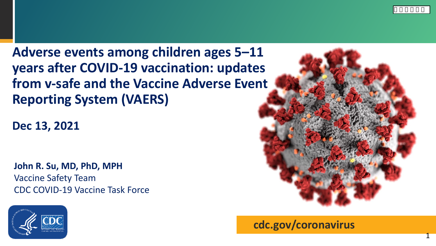**Adverse events among children ages 5–11 years after COVID-19 vaccination: updates from v-safe and the Vaccine Adverse Event Reporting System (VAERS)**

**Dec 13, 2021**

**John R. Su, MD, PhD, MPH** Vaccine Safety Team CDC COVID-19 Vaccine Task Force





**cdc.gov/coronavirus**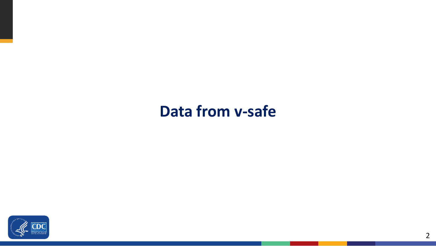### **Data from v-safe**

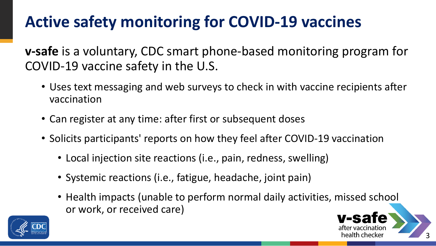# **Active safety monitoring for COVID-19 vaccines**

**v-safe** is a voluntary, CDC smart phone-based monitoring program for COVID-19 vaccine safety in the U.S.

- Uses text messaging and web surveys to check in with vaccine recipients after vaccination
- Can register at any time: after first or subsequent doses
- Solicits participants' reports on how they feel after COVID-19 vaccination
	- Local injection site reactions (i.e., pain, redness, swelling)
	- Systemic reactions (i.e., fatigue, headache, joint pain)
	- Health impacts (unable to perform normal daily activities, missed school or work, or received care)



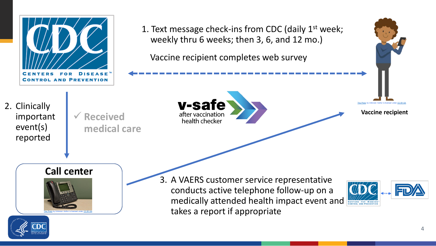

#### **Call center**



3. A VAERS customer service representative conducts active telephone follow-up on a medically attended health impact event and takes a report if appropriate



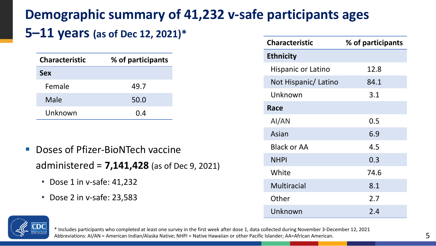### **Demographic summary of 41,232 v-safe participants ages**

#### **5–11 years (as of Dec 12, 2021)\***

| <b>Characteristic</b> | % of participants |  |  |  |
|-----------------------|-------------------|--|--|--|
| <b>Sex</b>            |                   |  |  |  |
| Female                | 49.7              |  |  |  |
| Male                  | 50.0              |  |  |  |
| Unknown               | 0.4               |  |  |  |

- Doses of Pfizer-BioNTech vaccine administered = **7,141,428** (as of Dec 9, 2021)
	- Dose 1 in v-safe: 41,232
	- Dose 2 in v-safe: 23,583

| <b>Characteristic</b> | % of participants |
|-----------------------|-------------------|
| <b>Ethnicity</b>      |                   |
| Hispanic or Latino    | 12.8              |
| Not Hispanic/ Latino  | 84.1              |
| Unknown               | 3.1               |
| Race                  |                   |
| AI/AN                 | 0.5               |
| Asian                 | 6.9               |
| <b>Black or AA</b>    | 4.5               |
| <b>NHPI</b>           | 0.3               |
| White                 | 74.6              |
| <b>Multiracial</b>    | 8.1               |
| Other                 | 2.7               |
| Unknown               | 2.4               |



\* Includes participants who completed at least one survey in the first week after dose 1, data collected during November 3-December 12, 2021 Abbreviations: AI/AN = American Indian/Alaska Native; NHPI = Native Hawaiian or other Pacific Islander; AA=African American.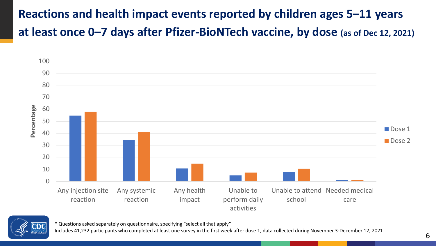### **Reactions and health impact events reported by children ages 5–11 years at least once 0–7 days after Pfizer-BioNTech vaccine, by dose (as of Dec 12, 2021)**





\* Questions asked separately on questionnaire, specifying "select all that apply"

Includes 41,232 participants who completed at least one survey in the first week after dose 1, data collected during November 3-December 12, 2021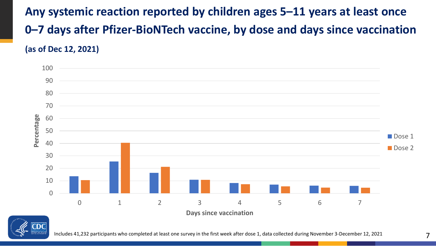**Any systemic reaction reported by children ages 5–11 years at least once 0–7 days after Pfizer-BioNTech vaccine, by dose and days since vaccination (as of Dec 12, 2021)**





Includes 41,232 participants who completed at least one survey in the first week after dose 1, data collected during November 3-December 12, 2021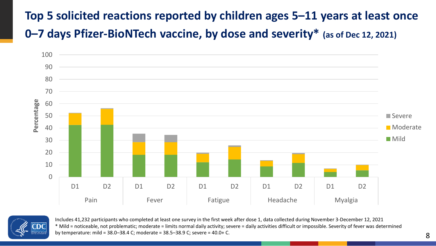### **Top 5 solicited reactions reported by children ages 5–11 years at least once 0–7 days Pfizer-BioNTech vaccine, by dose and severity\* (as of Dec 12, 2021)**





Includes 41,232 participants who completed at least one survey in the first week after dose 1, data collected during November 3-December 12, 2021 \* Mild = noticeable, not problematic; moderate = limits normal daily activity; severe = daily activities difficult or impossible. Severity of fever was determined by temperature: mild = 38.0–38.4 C; moderate = 38.5–38.9 C; severe = 40.0+ C.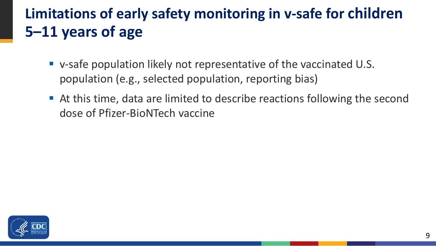### **Limitations of early safety monitoring in v-safe for children 5–11 years of age**

- v-safe population likely not representative of the vaccinated U.S. population (e.g., selected population, reporting bias)
- At this time, data are limited to describe reactions following the second dose of Pfizer-BioNTech vaccine

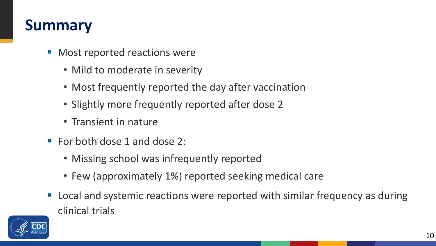### **Summary**

- Most reported reactions were
	- Mild to moderate in severity
	- Most frequently reported the day after vaccination
	- Slightly more frequently reported after dose 2
	- Transient in nature
- For both dose 1 and dose 2:
	- Missing school was infrequently reported
	- Few (approximately 1%) reported seeking medical care
- Local and systemic reactions were reported with similar frequency as during clinical trials

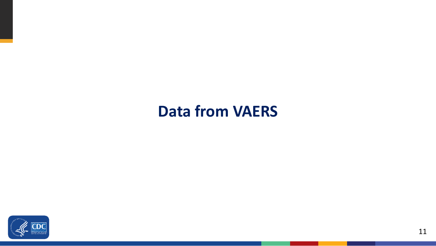### **Data from VAERS**

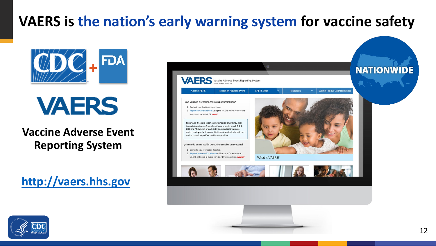## **VAERS is the nation's early warning system for vaccine safety**



**VAERS** 

**Vaccine Adverse Event Reporting System**

**[http://vaers.hhs.gov](http://vaers.hhs.gov/)**



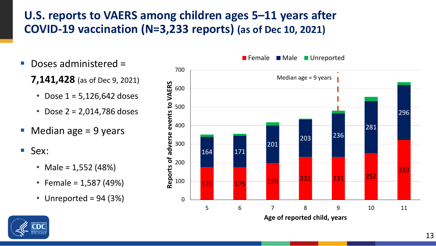#### **U.S. reports to VAERS among children ages 5–11 years after COVID-19 vaccination (N=3,233 reports) (as of Dec 10, 2021)**

- Doses administered =
	- **7,141,428** (as of Dec 9, 2021)
		- Dose  $1 = 5,126,642$  doses
		- Dose 2 = 2,014,786 doses
- $\blacksquare$  Median age = 9 years
- Sex:
	- Male =  $1,552$  (48%)
	- Female =  $1,587$  (49%)
	- Unreported =  $94(3%)$



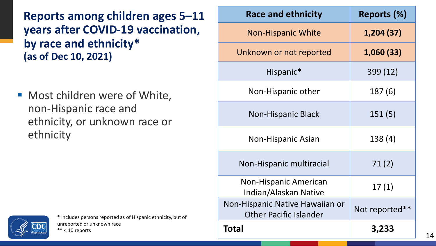**Reports among children ages 5–11 years after COVID-19 vaccination, by race and ethnicity\* (as of Dec 10, 2021)** 

■ Most children were of White, non-Hispanic race and ethnicity, or unknown race or ethnicity



| <b>Race and ethnicity</b>                                        | Reports (%)    |  |  |
|------------------------------------------------------------------|----------------|--|--|
| <b>Non-Hispanic White</b>                                        | 1,204 (37)     |  |  |
| Unknown or not reported                                          | 1,060 (33)     |  |  |
| Hispanic*                                                        | 399 (12)       |  |  |
| Non-Hispanic other                                               | 187 (6)        |  |  |
| <b>Non-Hispanic Black</b>                                        | 151(5)         |  |  |
| <b>Non-Hispanic Asian</b>                                        | 138(4)         |  |  |
| Non-Hispanic multiracial                                         | 71(2)          |  |  |
| <b>Non-Hispanic American</b><br>Indian/Alaskan Native            | 17(1)          |  |  |
| Non-Hispanic Native Hawaiian or<br><b>Other Pacific Islander</b> | Not reported** |  |  |
| Total                                                            | 3,233          |  |  |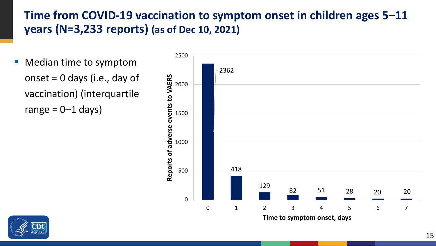#### **Time from COVID-19 vaccination to symptom onset in children ages 5–11 years (N=3,233 reports) (as of Dec 10, 2021)**

**• Median time to symptom** onset = 0 days (i.e., day of vaccination) (interquartile range  $= 0 - 1$  days)



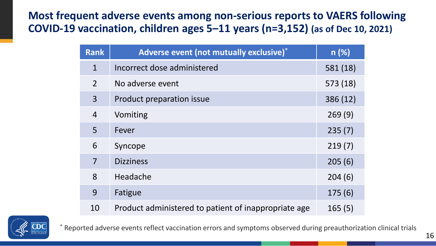#### **Most frequent adverse events among non-serious reports to VAERS following COVID-19 vaccination, children ages 5–11 years (n=3,152) (as of Dec 10, 2021)**

| <b>Rank</b>    | Adverse event (not mutually exclusive)*              | n(%)     |
|----------------|------------------------------------------------------|----------|
| $\mathbf{1}$   | Incorrect dose administered                          | 581 (18) |
| $\overline{2}$ | No adverse event                                     | 573 (18) |
| $\overline{3}$ | Product preparation issue                            | 386 (12) |
| $\overline{4}$ | Vomiting                                             | 269(9)   |
| 5              | Fever                                                | 235(7)   |
| 6              | Syncope                                              | 219(7)   |
| $\overline{7}$ | <b>Dizziness</b>                                     | 205(6)   |
| 8              | Headache                                             | 204(6)   |
| 9              | Fatigue                                              | 175(6)   |
| 10             | Product administered to patient of inappropriate age | 165(5)   |



\* Reported adverse events reflect vaccination errors and symptoms observed during preauthorization clinical trials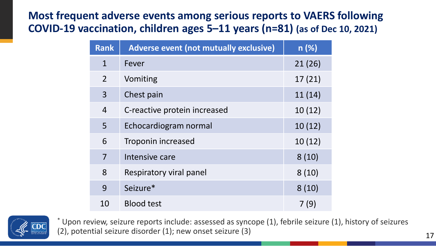#### **Most frequent adverse events among serious reports to VAERS following COVID-19 vaccination, children ages 5–11 years (n=81) (as of Dec 10, 2021)**

| <b>Rank</b>    | <b>Adverse event (not mutually exclusive)</b> | n(%)   |  |  |
|----------------|-----------------------------------------------|--------|--|--|
| $\mathbf{1}$   | Fever                                         | 21(26) |  |  |
| $\overline{2}$ | Vomiting                                      | 17(21) |  |  |
| 3              | Chest pain                                    | 11(14) |  |  |
| $\overline{4}$ | C-reactive protein increased                  | 10(12) |  |  |
| 5              | Echocardiogram normal                         | 10(12) |  |  |
| 6              | Troponin increased                            | 10(12) |  |  |
| 7              | Intensive care                                | 8(10)  |  |  |
| 8              | Respiratory viral panel                       | 8(10)  |  |  |
| 9              | Seizure*                                      | 8(10)  |  |  |
| 10             | <b>Blood test</b>                             | 7 (9)  |  |  |



\* Upon review, seizure reports include: assessed as syncope (1), febrile seizure (1), history of seizures (2), potential seizure disorder (1); new onset seizure (3) 17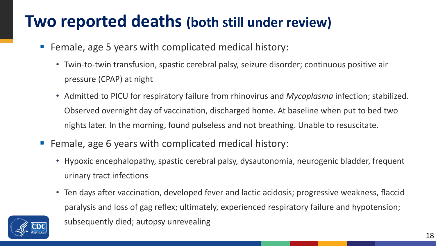## **Two reported deaths (both still under review)**

- Female, age 5 years with complicated medical history:
	- Twin-to-twin transfusion, spastic cerebral palsy, seizure disorder; continuous positive air pressure (CPAP) at night
	- Admitted to PICU for respiratory failure from rhinovirus and *Mycoplasma* infection; stabilized. Observed overnight day of vaccination, discharged home. At baseline when put to bed two nights later. In the morning, found pulseless and not breathing. Unable to resuscitate.
- Female, age 6 years with complicated medical history:

subsequently died; autopsy unrevealing

- Hypoxic encephalopathy, spastic cerebral palsy, dysautonomia, neurogenic bladder, frequent urinary tract infections
- Ten days after vaccination, developed fever and lactic acidosis; progressive weakness, flaccid paralysis and loss of gag reflex; ultimately, experienced respiratory failure and hypotension;

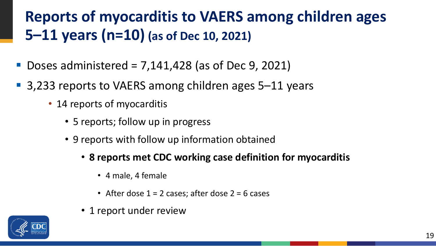## **Reports of myocarditis to VAERS among children ages 5–11 years (n=10) (as of Dec 10, 2021)**

- Doses administered = 7,141,428 (as of Dec 9, 2021)
- 3,233 reports to VAERS among children ages 5–11 years
	- 14 reports of myocarditis
		- 5 reports; follow up in progress
		- 9 reports with follow up information obtained
			- **8 reports met CDC working case definition for myocarditis**
				- 4 male, 4 female
				- After dose  $1 = 2$  cases; after dose  $2 = 6$  cases
			- 1 report under review

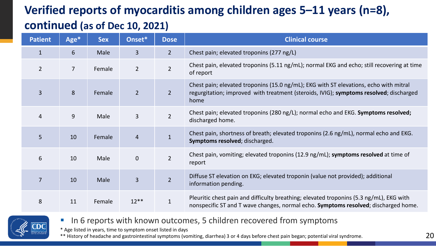### **Verified reports of myocarditis among children ages 5–11 years (n=8), continued (as of Dec 10, 2021)**

| <b>Patient</b> | Age*           | <b>Sex</b> | Onset*         | <b>Dose</b>    | <b>Clinical course</b>                                                                                                                                                                  |  |
|----------------|----------------|------------|----------------|----------------|-----------------------------------------------------------------------------------------------------------------------------------------------------------------------------------------|--|
| $\mathbf{1}$   | 6              | Male       | $\overline{3}$ | $2^{\circ}$    | Chest pain; elevated troponins (277 ng/L)                                                                                                                                               |  |
| $\overline{2}$ | $\overline{7}$ | Female     | $\overline{2}$ | $\overline{2}$ | Chest pain, elevated troponins (5.11 ng/mL); normal EKG and echo; still recovering at time<br>of report                                                                                 |  |
| $\overline{3}$ | 8              | Female     | 2 <sup>2</sup> | $\overline{2}$ | Chest pain; elevated troponins (15.0 ng/mL); EKG with ST elevations, echo with mitral<br>regurgitation; improved with treatment (steroids, IVIG); symptoms resolved; discharged<br>home |  |
| $\overline{4}$ | 9              | Male       | $\overline{3}$ | $\overline{2}$ | Chest pain; elevated troponins (280 ng/L); normal echo and EKG. Symptoms resolved;<br>discharged home.                                                                                  |  |
| 5              | 10             | Female     | $\overline{4}$ | $\mathbf{1}$   | Chest pain, shortness of breath; elevated troponins (2.6 ng/mL), normal echo and EKG.<br>Symptoms resolved; discharged.                                                                 |  |
| 6              | 10             | Male       | $\overline{0}$ | $\overline{2}$ | Chest pain, vomiting; elevated troponins (12.9 ng/mL); symptoms resolved at time of<br>report                                                                                           |  |
| $\overline{7}$ | 10             | Male       | $\overline{3}$ | $\overline{2}$ | Diffuse ST elevation on EKG; elevated troponin (value not provided); additional<br>information pending.                                                                                 |  |
| 8              | 11             | Female     | $12**$         | $\mathbf{1}$   | Pleuritic chest pain and difficulty breathing; elevated troponins (5.3 ng/mL), EKG with<br>nonspecific ST and T wave changes, normal echo. Symptoms resolved; discharged home.          |  |



In 6 reports with known outcomes, 5 children recovered from symptoms

\* Age listed in years, time to symptom onset listed in days

\*\* History of headache and gastrointestinal symptoms (vomiting, diarrhea) 3 or 4 days before chest pain began; potential viral syndrome.  $20$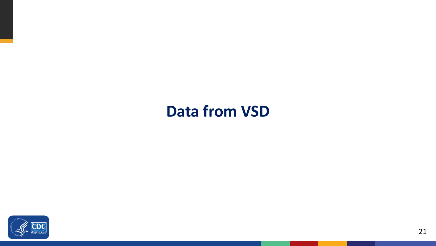### **Data from VSD**

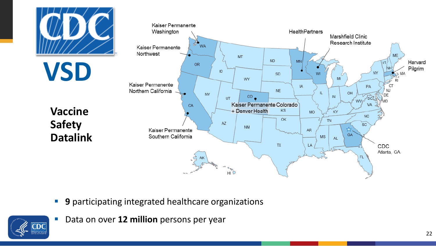

- **9** participating integrated healthcare organizations
- Data on over **12 million** persons per year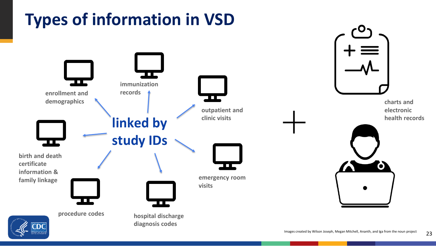

23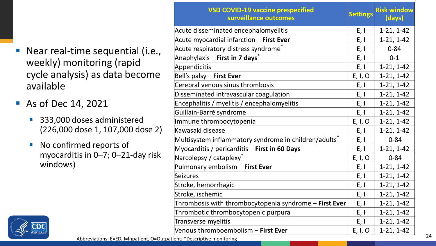- **Near real-time sequential (i.e.,** weekly) monitoring (rapid cycle analysis) as data become available
- **As of Dec 14, 2021** 
	- 333,000 doses administered (226,000 dose 1, 107,000 dose 2)
	- No confirmed reports of myocarditis in 0–7; 0–21-day risk windows)



|                                                                         | <b>VSD COVID-19 vaccine prespecified</b><br>surveillance outcomes | <b>Settings</b> | <b>Risk window</b><br>(days) |
|-------------------------------------------------------------------------|-------------------------------------------------------------------|-----------------|------------------------------|
|                                                                         | Acute disseminated encephalomyelitis                              | E, I            | $1-21, 1-42$                 |
|                                                                         | Acute myocardial infarction - First Ever                          | E, I            | $1-21, 1-42$                 |
| ime sequential (i.e.,                                                   | Acute respiratory distress syndrome <sup>*</sup>                  | E, I            | $0 - 84$                     |
|                                                                         | Anaphylaxis – <b>First in 7 days</b> *                            | E, I            | $0 - 1$                      |
| onitoring (rapid                                                        | Appendicitis                                                      | E, I            | $1-21, 1-42$                 |
| sis) as data become                                                     | Bell's palsy - First Ever                                         | E, I, O         | $1-21, 1-42$                 |
|                                                                         | Cerebral venous sinus thrombosis                                  | E, I            | $1-21, 1-42$                 |
|                                                                         | Disseminated intravascular coagulation                            | E, I            | $1-21, 1-42$                 |
| 4,2021                                                                  | Encephalitis / myelitis / encephalomyelitis                       |                 | $1-21, 1-42$                 |
|                                                                         | Guillain-Barré syndrome                                           | E, I            | $1-21, 1-42$                 |
| loses administered                                                      | Immune thrombocytopenia                                           | E, I, O         | $1-21, 1-42$                 |
| dose 1, 107,000 dose 2)                                                 | Kawasaki disease                                                  | E, I            | $1-21, 1-42$                 |
|                                                                         | Multisystem inflammatory syndrome in children/adults <sup>*</sup> | E, I            | $0 - 84$                     |
| med reports of                                                          | Myocarditis / pericarditis - First in 60 Days                     | E, I            | $1-21, 1-42$                 |
| tis in 0–7; 0–21-day risk                                               | Narcolepsy / cataplexy <sup>®</sup>                               | E, I, O         | $0 - 84$                     |
|                                                                         | Pulmonary embolism - First Ever                                   | E, I            | $1-21, 1-42$                 |
|                                                                         | Seizures                                                          | E, I            | $1-21, 1-42$                 |
|                                                                         | Stroke, hemorrhagic                                               | E, I            | $1-21, 1-42$                 |
|                                                                         | Stroke, ischemic                                                  |                 | $1-21, 1-42$                 |
|                                                                         | Thrombosis with thrombocytopenia syndrome - First Ever            |                 | $1-21, 1-42$                 |
|                                                                         | Thrombotic thrombocytopenic purpura                               | E, I            | $1-21, 1-42$                 |
|                                                                         | Transverse myelitis                                               | E, I            | $1-21, 1-42$                 |
|                                                                         | Venous thromboembolism - First Ever                               | E, I, O         | $1-21, 1-42$                 |
| Abbreviations: E=ED, I=Inpatient, O=Outpatient; *Descriptive monitoring |                                                                   |                 |                              |

24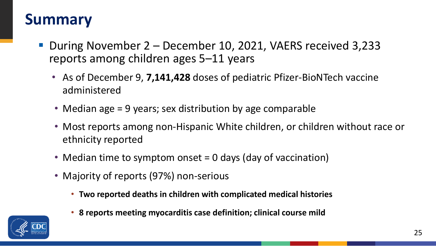### **Summary**

- During November 2 December 10, 2021, VAERS received 3,233 reports among children ages 5–11 years
	- As of December 9, **7,141,428** doses of pediatric Pfizer-BioNTech vaccine administered
	- Median age = 9 years; sex distribution by age comparable
	- Most reports among non-Hispanic White children, or children without race or ethnicity reported
	- Median time to symptom onset = 0 days (day of vaccination)
	- Majority of reports (97%) non-serious
		- **Two reported deaths in children with complicated medical histories**
		- **8 reports meeting myocarditis case definition; clinical course mild**

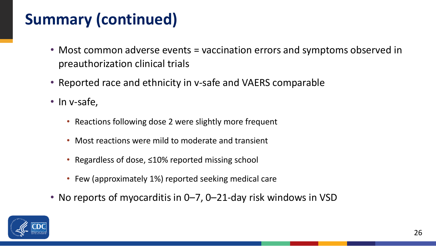## **Summary (continued)**

- Most common adverse events = vaccination errors and symptoms observed in preauthorization clinical trials
- Reported race and ethnicity in v-safe and VAERS comparable
- In v-safe,
	- Reactions following dose 2 were slightly more frequent
	- Most reactions were mild to moderate and transient
	- Regardless of dose, ≤10% reported missing school
	- Few (approximately 1%) reported seeking medical care
- No reports of myocarditis in 0–7, 0–21-day risk windows in VSD